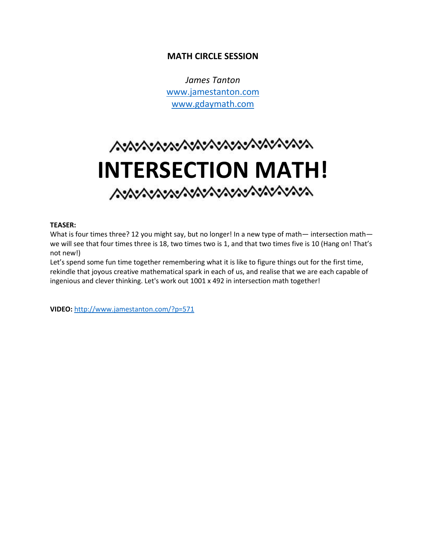## **MATH CIRCLE SESSION**

*James Tanton* [www.jamestanton.com](http://www.jamestanton.com/) [www.gdaymath.com](http://www.gdaymath.com/)

# へいいへいいいいいいいいいいいいいい **INTERSECTION MATH!**

#### **TEASER:**

What is four times three? 12 you might say, but no longer! In a new type of math— intersection math we will see that four times three is 18, two times two is 1, and that two times five is 10 (Hang on! That's not new!)

Let's spend some fun time together remembering what it is like to figure things out for the first time, rekindle that joyous creative mathematical spark in each of us, and realise that we are each capable of ingenious and clever thinking. Let's work out 1001 x 492 in intersection math together!

**VIDEO:** <http://www.jamestanton.com/?p=571>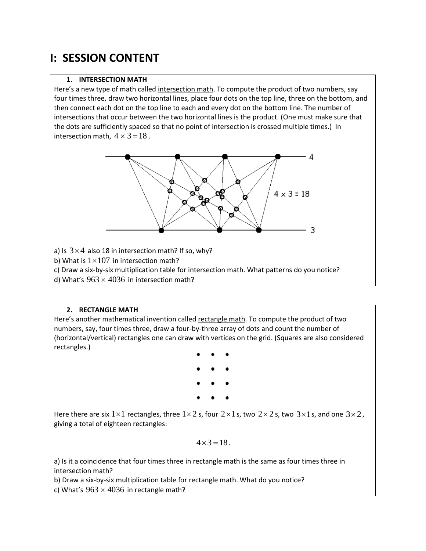# **I: SESSION CONTENT**

## **1. INTERSECTION MATH**

Here's a new type of math called intersection math. To compute the product of two numbers, say four times three, draw two horizontal lines, place four dots on the top line, three on the bottom, and then connect each dot on the top line to each and every dot on the bottom line. The number of intersections that occur between the two horizontal lines is the product. (One must make sure that the dots are sufficiently spaced so that no point of intersection is crossed multiple times.) In intersection math,  $4 \times 3 = 18$ .



a) Is  $3\times 4$  also 18 in intersection math? If so, why?

b) What is  $1\times107$  in intersection math?

c) Draw a six-by-six multiplication table for intersection math. What patterns do you notice? d) What's  $963 \times 4036$  in intersection math?

**2. RECTANGLE MATH**

Here's another mathematical invention called rectangle math. To compute the product of two numbers, say, four times three, draw a four-by-three array of dots and count the number of (horizontal/vertical) rectangles one can draw with vertices on the grid. (Squares are also considered rectangles.)

Here there are six 1×1 rectangles, three 1×2 s, four 2×1 s, two 2×2 s, two 3×1 s, and one 3×2, giving a total of eighteen rectangles:

$$
4 \times 3 = 18.
$$

a) Is it a coincidence that four times three in rectangle math is the same as four times three in intersection math?

b) Draw a six-by-six multiplication table for rectangle math. What do you notice? c) What's  $963 \times 4036$  in rectangle math?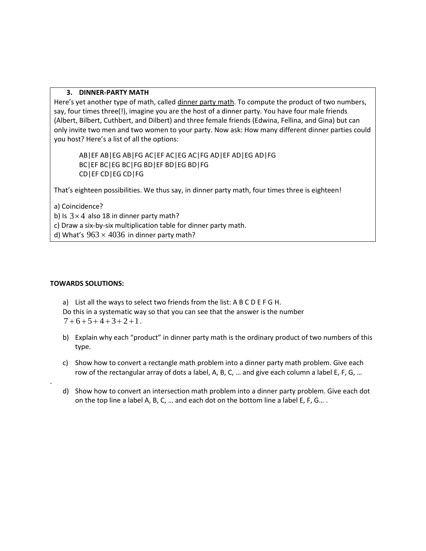### **3. DINNER-PARTY MATH**

Here's yet another type of math, called dinner party math. To compute the product of two numbers, say, four times three(!), imagine you are the host of a dinner party. You have four male friends (Albert, Bilbert, Cuthbert, and Dilbert) and three female friends (Edwina, Fellina, and Gina) but can only invite two men and two women to your party. Now ask: How many different dinner parties could you host? Here's a list of all the options:

AB|EF AB|EG AB|FG AC|EF AC|EG AC|FG AD|EF AD|EG AD|FG BC|EF BC|EG BC|FG BD|EF BD|EG BD|FG CD|EF CD|EG CD|FG

That's eighteen possibilities. We thus say, in dinner party math, four times three is eighteen!

a) Coincidence?

b) Is  $3\times 4$  also 18 in dinner party math?

c) Draw a six-by-six multiplication table for dinner party math.

d) What's  $963 \times 4036$  in dinner party math?

#### **TOWARDS SOLUTIONS:**

.

a) List all the ways to select two friends from the list: A B C D E F G H. Do this in a systematic way so that you can see that the answer is the number  $7 + 6 + 5 + 4 + 3 + 2 + 1$ .

- b) Explain why each "product" in dinner party math is the ordinary product of two numbers of this type.
- c) Show how to convert a rectangle math problem into a dinner party math problem. Give each row of the rectangular array of dots a label, A, B, C, … and give each column a label E, F, G, …
- d) Show how to convert an intersection math problem into a dinner party problem. Give each dot on the top line a label A, B, C, … and each dot on the bottom line a label E, F, G… .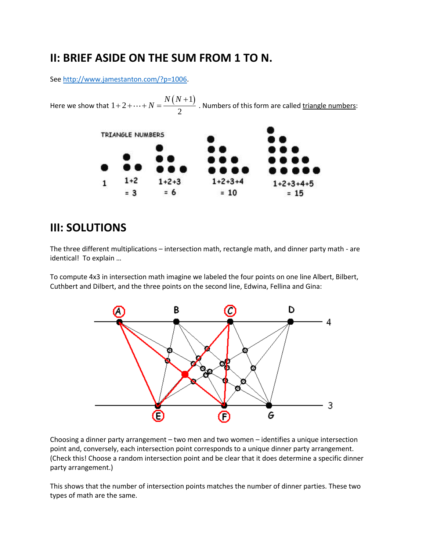## **II: BRIEF ASIDE ON THE SUM FROM 1 TO N.**

Se[e http://www.jamestanton.com/?p=1006.](http://www.jamestanton.com/?p=1006)

 $N = \frac{N(N)}{N}$  $1 + 2 + \cdots + N = \frac{N(N+1)}{2}$  . Numbers of this form are called triangle numbers:  $1+2+\cdots+N=\frac{N(N+1)}{2}$ Here we show that TRIANGLE NUMBERS  $1+2$  $1+2+3$  $1 + 2 + 3 + 4$  $\mathbf{1}$  $1 + 2 + 3 + 4 + 5$  $= 3$  $= 6$  $= 10$  $= 15$ 

## **III: SOLUTIONS**

The three different multiplications – intersection math, rectangle math, and dinner party math - are identical! To explain …

To compute 4x3 in intersection math imagine we labeled the four points on one line Albert, Bilbert, Cuthbert and Dilbert, and the three points on the second line, Edwina, Fellina and Gina:



Choosing a dinner party arrangement – two men and two women – identifies a unique intersection point and, conversely, each intersection point corresponds to a unique dinner party arrangement. (Check this! Choose a random intersection point and be clear that it does determine a specific dinner party arrangement.)

This shows that the number of intersection points matches the number of dinner parties. These two types of math are the same.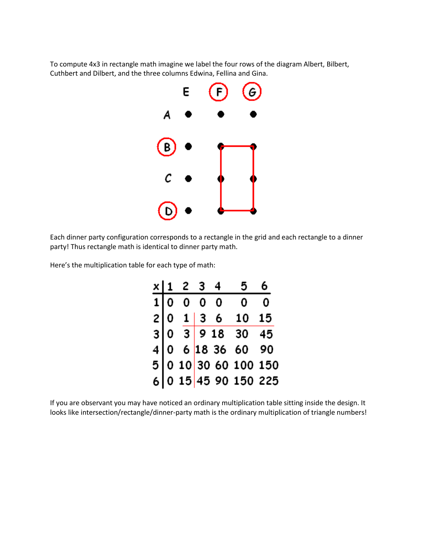To compute 4x3 in rectangle math imagine we label the four rows of the diagram Albert, Bilbert, Cuthbert and Dilbert, and the three columns Edwina, Fellina and Gina.



Each dinner party configuration corresponds to a rectangle in the grid and each rectangle to a dinner party! Thus rectangle math is identical to dinner party math.

Here's the multiplication table for each type of math:

|  |  | x   1 2 3 4 | 5 <sub>1</sub>                                                                                           | 6 |
|--|--|-------------|----------------------------------------------------------------------------------------------------------|---|
|  |  |             | 1 0 0 0 0 0 0                                                                                            |   |
|  |  |             | 2 0 1 3 6 10 15<br>3 0 3 9 18 30 45<br>4 0 6 18 36 60 90<br>5 0 10 30 60 100 150<br>6 0 15 45 90 150 225 |   |
|  |  |             |                                                                                                          |   |
|  |  |             |                                                                                                          |   |
|  |  |             |                                                                                                          |   |
|  |  |             |                                                                                                          |   |

If you are observant you may have noticed an ordinary multiplication table sitting inside the design. It looks like intersection/rectangle/dinner-party math is the ordinary multiplication of triangle numbers!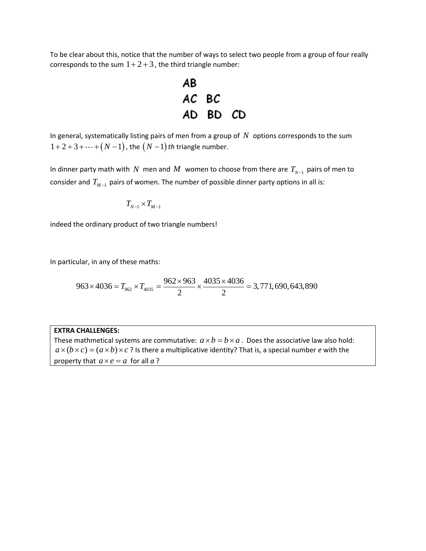To be clear about this, notice that the number of ways to select two people from a group of four really corresponds to the sum  $1+2+3$  , the third triangle number:



In general, systematically listing pairs of men from a group of  $N$  options corresponds to the sum  $1+2+3+\cdots+(N-1)$ , the  $(N-1)$  th triangle number.

In dinner party math with  $N$  men and  $M$  women to choose from there are  $T_{N-1}$  pairs of men to consider and  $T_{M-1}$  pairs of women. The number of possible dinner party options in all is:

$$
T_{N-1}\times T_{M-1}
$$

indeed the ordinary product of two triangle numbers!

In particular, in any of these maths:  
\n
$$
963 \times 4036 = T_{962} \times T_{4035} = \frac{962 \times 963}{2} \times \frac{4035 \times 4036}{2} = 3,771,690,643,890
$$

#### **EXTRA CHALLENGES:**

These mathmetical systems are commutative:  $a \times b = b \times a$ . Does the associative law also hold:  $a \times (b \times c) = (a \times b) \times c$ ? Is there a multiplicative identity? That is, a special number *e* with the property that  $a \times e = a$  for all  $a$ ?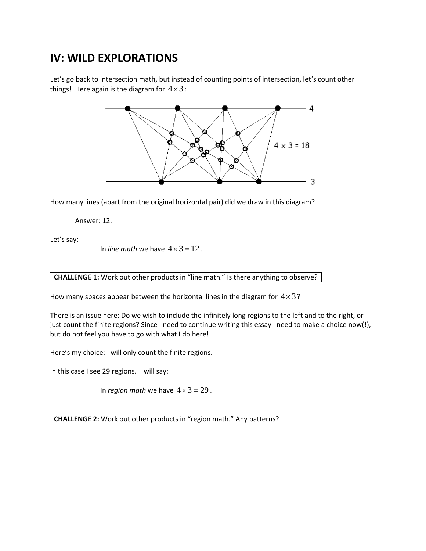# **IV: WILD EXPLORATIONS**

Let's go back to intersection math, but instead of counting points of intersection, let's count other things! Here again is the diagram for  $4\times3$ :



How many lines (apart from the original horizontal pair) did we draw in this diagram?

Answer: 12.

Let's say:

In *line math* we have  $4 \times 3 = 12$ .

#### **CHALLENGE 1:** Work out other products in "line math." Is there anything to observe?

How many spaces appear between the horizontal lines in the diagram for  $4\times3$ ?

There is an issue here: Do we wish to include the infinitely long regions to the left and to the right, or just count the finite regions? Since I need to continue writing this essay I need to make a choice now(!), but do not feel you have to go with what I do here!

Here's my choice: I will only count the finite regions.

In this case I see 29 regions. I will say:

In *region math* we have  $4 \times 3 = 29$ .

**CHALLENGE 2:** Work out other products in "region math." Any patterns?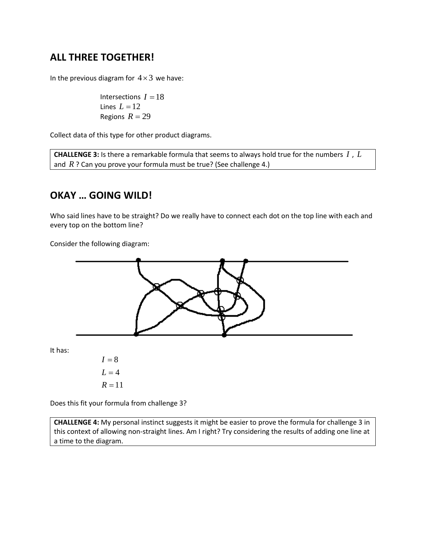## **ALL THREE TOGETHER!**

In the previous diagram for  $4\times 3$  we have:

Intersections  $I = 18$ Lines  $L = 12$ Regions  $R = 29$ 

Collect data of this type for other product diagrams.

**CHALLENGE 3:** Is there a remarkable formula that seems to always hold true for the numbers *I* , *L* and *R* ? Can you prove your formula must be true? (See challenge 4.)

## **OKAY … GOING WILD!**

Who said lines have to be straight? Do we really have to connect each dot on the top line with each and every top on the bottom line?

Consider the following diagram:



Does this fit your formula from challenge 3?

**CHALLENGE 4:** My personal instinct suggests it might be easier to prove the formula for challenge 3 in this context of allowing non-straight lines. Am I right? Try considering the results of adding one line at a time to the diagram.